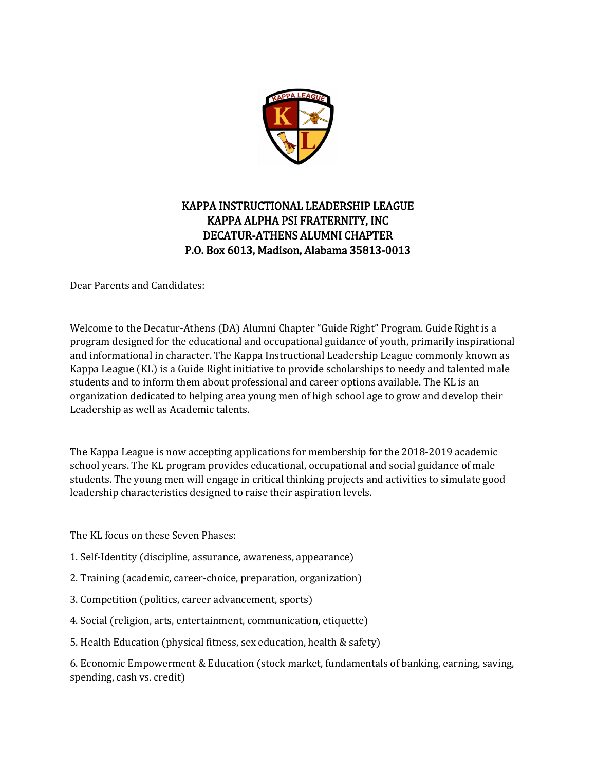

# KAPPA INSTRUCTIONAL LEADERSHIP LEAGUE KAPPA ALPHA PSI FRATERNITY, INC DECATUR-ATHENS ALUMNI CHAPTER P.O. Box 6013, Madison, Alabama 35813-0013

Dear Parents and Candidates:

Welcome to the Decatur-Athens (DA) Alumni Chapter "Guide Right" Program. Guide Right is a program designed for the educational and occupational guidance of youth, primarily inspirational and informational in character. The Kappa Instructional Leadership League commonly known as Kappa League (KL) is a Guide Right initiative to provide scholarships to needy and talented male students and to inform them about professional and career options available. The KL is an organization dedicated to helping area young men of high school age to grow and develop their Leadership as well as Academic talents.

The Kappa League is now accepting applications for membership for the 2018-2019 academic school years. The KL program provides educational, occupational and social guidance of male students. The young men will engage in critical thinking projects and activities to simulate good leadership characteristics designed to raise their aspiration levels.

The KL focus on these Seven Phases:

- 1. Self-Identity (discipline, assurance, awareness, appearance)
- 2. Training (academic, career-choice, preparation, organization)
- 3. Competition (politics, career advancement, sports)
- 4. Social (religion, arts, entertainment, communication, etiquette)
- 5. Health Education (physical fitness, sex education, health & safety)

6. Economic Empowerment & Education (stock market, fundamentals of banking, earning, saving, spending, cash vs. credit)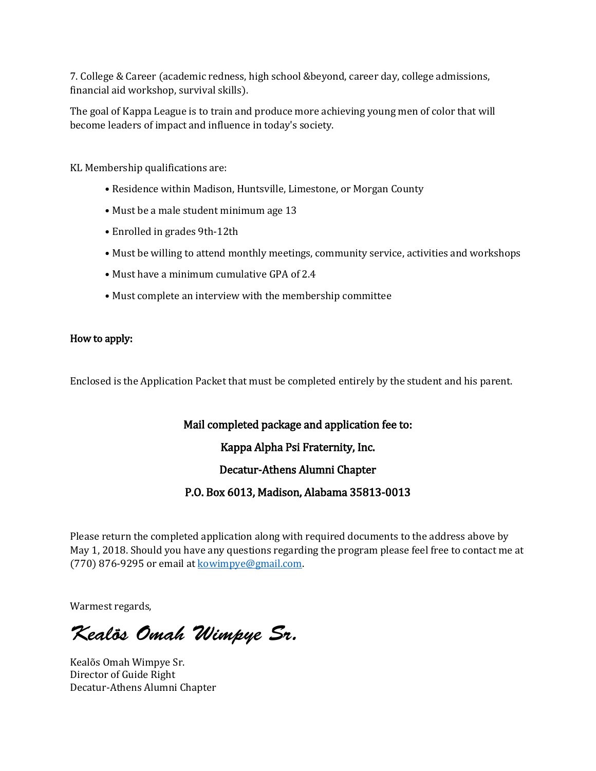7. College & Career (academic redness, high school &beyond, career day, college admissions, financial aid workshop, survival skills).

The goal of Kappa League is to train and produce more achieving young men of color that will become leaders of impact and influence in today's society.

KL Membership qualifications are:

- Residence within Madison, Huntsville, Limestone, or Morgan County
- Must be a male student minimum age 13
- Enrolled in grades 9th-12th
- Must be willing to attend monthly meetings, community service, activities and workshops
- Must have a minimum cumulative GPA of 2.4
- Must complete an interview with the membership committee

#### How to apply:

Enclosed is the Application Packet that must be completed entirely by the student and his parent.

#### Mail completed package and application fee to:

Kappa Alpha Psi Fraternity, Inc.

Decatur-Athens Alumni Chapter

P.O. Box 6013, Madison, Alabama 35813-0013

Please return the completed application along with required documents to the address above by May 1, 2018. Should you have any questions regarding the program please feel free to contact me at (770) 876-9295 or email at [kowimpye@gmail.com.](mailto:kowimpye@gmail.com)

Warmest regards,

*Kealõs Omah Wimpye Sr.* 

Kealõs Omah Wimpye Sr. Director of Guide Right Decatur-Athens Alumni Chapter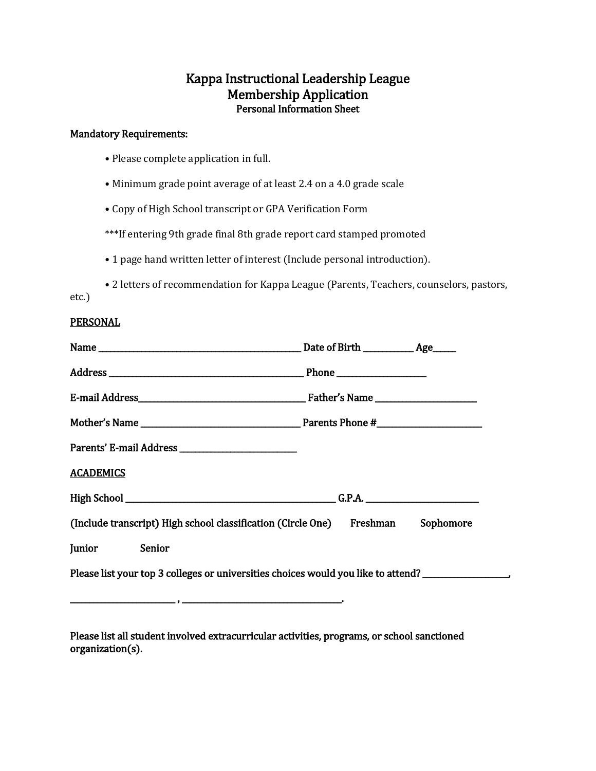# Kappa Instructional Leadership League Personal Information Sheet

#### Mandatory Requirements:

- Please complete application in full.
- Minimum grade point average of at least 2.4 on a 4.0 grade scale
- Copy of High School transcript or GPA Verification Form

\*\*\*If entering 9th grade final 8th grade report card stamped promoted

• 1 page hand written letter of interest (Include personal introduction).

• 2 letters of recommendation for Kappa League (Parents, Teachers, counselors, pastors, etc.)

#### PERSONAL

| <b>ACADEMICS</b>                                                                                    |  |  |  |  |  |
|-----------------------------------------------------------------------------------------------------|--|--|--|--|--|
|                                                                                                     |  |  |  |  |  |
| (Include transcript) High school classification (Circle One) Freshman Sophomore                     |  |  |  |  |  |
| Junior Senior                                                                                       |  |  |  |  |  |
| Please list your top 3 colleges or universities choices would you like to attend? _________________ |  |  |  |  |  |
|                                                                                                     |  |  |  |  |  |

Please list all student involved extracurricular activities, programs, or school sanctioned organization(s).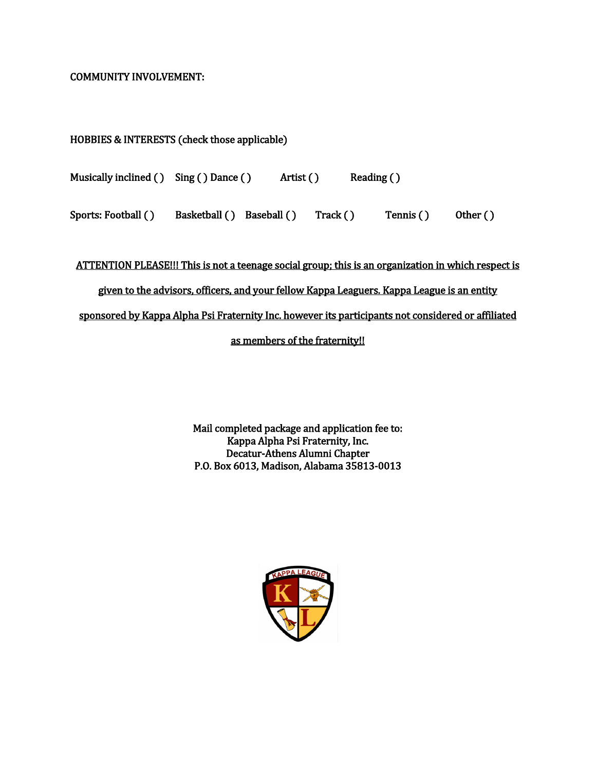#### COMMUNITY INVOLVEMENT:

# HOBBIES & INTERESTS (check those applicable)

| Musically inclined () Sing () Dance () | Artist () | Reading $()$ |  |
|----------------------------------------|-----------|--------------|--|
|                                        |           |              |  |

Sports: Football () Basketball ( ) Baseball ( ) Track ( ) Tennis ( ) Other ( )

ATTENTION PLEASE!!! This is not a teenage social group; this is an organization in which respect is

### given to the advisors, officers, and your fellow Kappa Leaguers. Kappa League is an entity

sponsored by Kappa Alpha Psi Fraternity Inc. however its participants not considered or affiliated

## as members of the fraternity!!

Mail completed package and application fee to: Kappa Alpha Psi Fraternity, Inc. Decatur-Athens Alumni Chapter P.O. Box 6013, Madison, Alabama 35813-0013